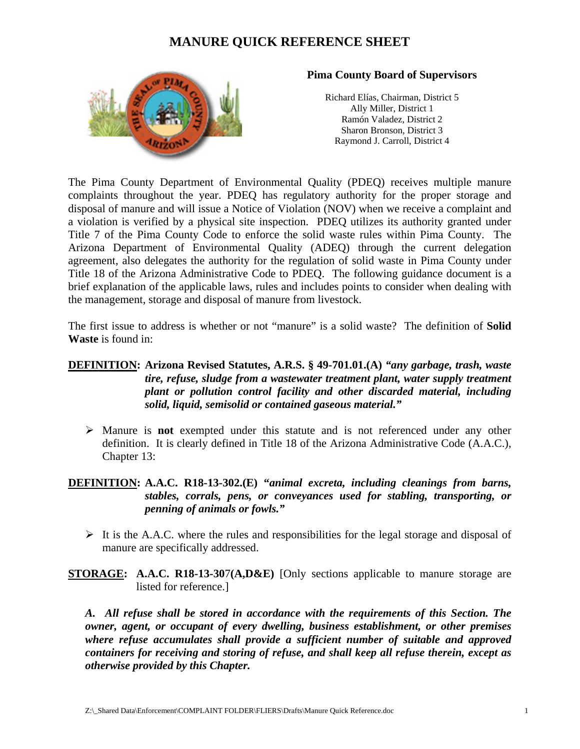

#### **Pima County Board of Supervisors**

Richard Elías, Chairman, District 5 Ally Miller, District 1 Ramón Valadez, District 2 Sharon Bronson, District 3 Raymond J. Carroll, District 4

The Pima County Department of Environmental Quality (PDEQ) receives multiple manure complaints throughout the year. PDEQ has regulatory authority for the proper storage and disposal of manure and will issue a Notice of Violation (NOV) when we receive a complaint and a violation is verified by a physical site inspection. PDEQ utilizes its authority granted under Title 7 of the Pima County Code to enforce the solid waste rules within Pima County. The Arizona Department of Environmental Quality (ADEQ) through the current delegation agreement, also delegates the authority for the regulation of solid waste in Pima County under Title 18 of the Arizona Administrative Code to PDEQ. The following guidance document is a brief explanation of the applicable laws, rules and includes points to consider when dealing with the management, storage and disposal of manure from livestock.

The first issue to address is whether or not "manure" is a solid waste? The definition of **Solid Waste** is found in:

### **DEFINITION: Arizona Revised Statutes, A.R.S. § 49-701.01.(A)** *"any garbage, trash, waste tire, refuse, sludge from a wastewater treatment plant, water supply treatment plant or pollution control facility and other discarded material, including solid, liquid, semisolid or contained gaseous material."*

 Manure is **not** exempted under this statute and is not referenced under any other definition. It is clearly defined in Title 18 of the Arizona Administrative Code (A.A.C.), Chapter 13:

### **DEFINITION: A.A.C. R18-13-302.(E) "***animal excreta, including cleanings from barns, stables, corrals, pens, or conveyances used for stabling, transporting, or penning of animals or fowls."*

- $\triangleright$  It is the A.A.C. where the rules and responsibilities for the legal storage and disposal of manure are specifically addressed.
- **STORAGE: A.A.C. R18-13-30**7**(A,D&E)** [Only sections applicable to manure storage are listed for reference.]

*A. All refuse shall be stored in accordance with the requirements of this Section. The owner, agent, or occupant of every dwelling, business establishment, or other premises where refuse accumulates shall provide a sufficient number of suitable and approved containers for receiving and storing of refuse, and shall keep all refuse therein, except as otherwise provided by this Chapter.*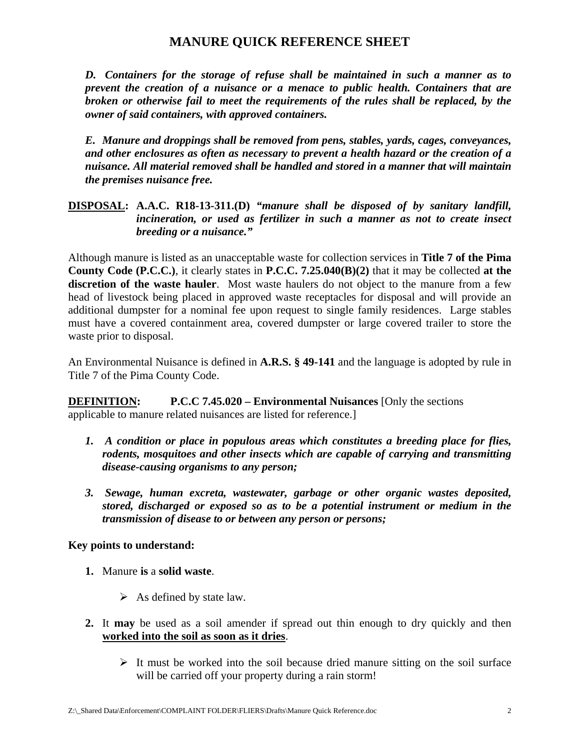*D. Containers for the storage of refuse shall be maintained in such a manner as to prevent the creation of a nuisance or a menace to public health. Containers that are broken or otherwise fail to meet the requirements of the rules shall be replaced, by the owner of said containers, with approved containers.*

*E. Manure and droppings shall be removed from pens, stables, yards, cages, conveyances, and other enclosures as often as necessary to prevent a health hazard or the creation of a nuisance. All material removed shall be handled and stored in a manner that will maintain the premises nuisance free.*

### **DISPOSAL: A.A.C. R18-13-311.(D)** *"manure shall be disposed of by sanitary landfill, incineration, or used as fertilizer in such a manner as not to create insect breeding or a nuisance."*

Although manure is listed as an unacceptable waste for collection services in **Title 7 of the Pima County Code (P.C.C.)**, it clearly states in **P.C.C. 7.25.040(B)(2)** that it may be collected **at the discretion of the waste hauler**. Most waste haulers do not object to the manure from a few head of livestock being placed in approved waste receptacles for disposal and will provide an additional dumpster for a nominal fee upon request to single family residences. Large stables must have a covered containment area, covered dumpster or large covered trailer to store the waste prior to disposal.

An Environmental Nuisance is defined in **A.R.S. § 49-141** and the language is adopted by rule in Title 7 of the Pima County Code.

**DEFINITION: P.C.C 7.45.020 – Environmental Nuisances** [Only the sections] applicable to manure related nuisances are listed for reference.]

- *1. A condition or place in populous areas which constitutes a breeding place for flies, rodents, mosquitoes and other insects which are capable of carrying and transmitting disease-causing organisms to any person;*
- *3. Sewage, human excreta, wastewater, garbage or other organic wastes deposited, stored, discharged or exposed so as to be a potential instrument or medium in the transmission of disease to or between any person or persons;*

### **Key points to understand:**

- **1.** Manure **is** a **solid waste**.
	- $\triangleright$  As defined by state law.
- **2.** It **may** be used as a soil amender if spread out thin enough to dry quickly and then **worked into the soil as soon as it dries**.
	- $\triangleright$  It must be worked into the soil because dried manure sitting on the soil surface will be carried off your property during a rain storm!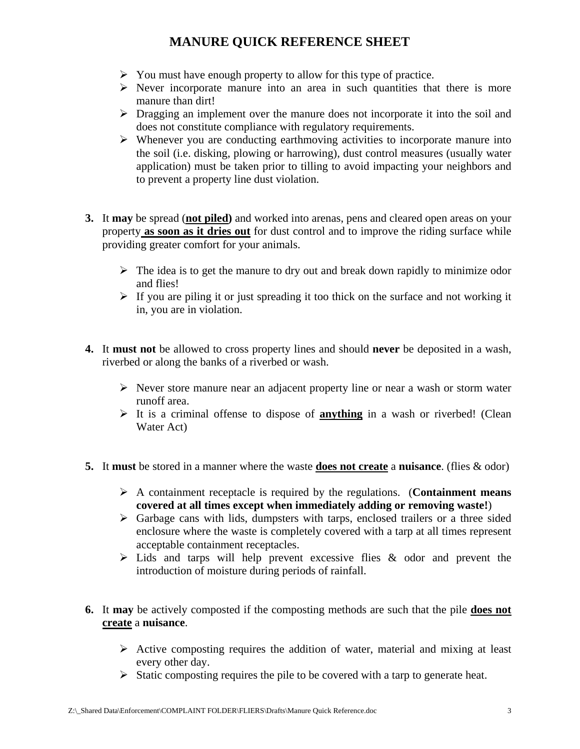- $\triangleright$  You must have enough property to allow for this type of practice.
- $\triangleright$  Never incorporate manure into an area in such quantities that there is more manure than dirt!
- $\triangleright$  Dragging an implement over the manure does not incorporate it into the soil and does not constitute compliance with regulatory requirements.
- $\triangleright$  Whenever you are conducting earthmoving activities to incorporate manure into the soil (i.e. disking, plowing or harrowing), dust control measures (usually water application) must be taken prior to tilling to avoid impacting your neighbors and to prevent a property line dust violation.
- **3.** It **may** be spread (**not piled)** and worked into arenas, pens and cleared open areas on your property **as soon as it dries out** for dust control and to improve the riding surface while providing greater comfort for your animals.
	- $\triangleright$  The idea is to get the manure to dry out and break down rapidly to minimize odor and flies!
	- $\triangleright$  If you are piling it or just spreading it too thick on the surface and not working it in, you are in violation.
- **4.** It **must not** be allowed to cross property lines and should **never** be deposited in a wash, riverbed or along the banks of a riverbed or wash.
	- $\triangleright$  Never store manure near an adjacent property line or near a wash or storm water runoff area.
	- $\triangleright$  It is a criminal offense to dispose of **anything** in a wash or riverbed! (Clean Water Act)
- **5.** It **must** be stored in a manner where the waste **does not create** a **nuisance**. (flies & odor)
	- A containment receptacle is required by the regulations. (**Containment means covered at all times except when immediately adding or removing waste!**)
	- $\triangleright$  Garbage cans with lids, dumpsters with tarps, enclosed trailers or a three sided enclosure where the waste is completely covered with a tarp at all times represent acceptable containment receptacles.
	- $\triangleright$  Lids and tarps will help prevent excessive flies & odor and prevent the introduction of moisture during periods of rainfall.
- **6.** It **may** be actively composted if the composting methods are such that the pile **does not create** a **nuisance**.
	- $\triangleright$  Active composting requires the addition of water, material and mixing at least every other day.
	- $\triangleright$  Static composting requires the pile to be covered with a tarp to generate heat.